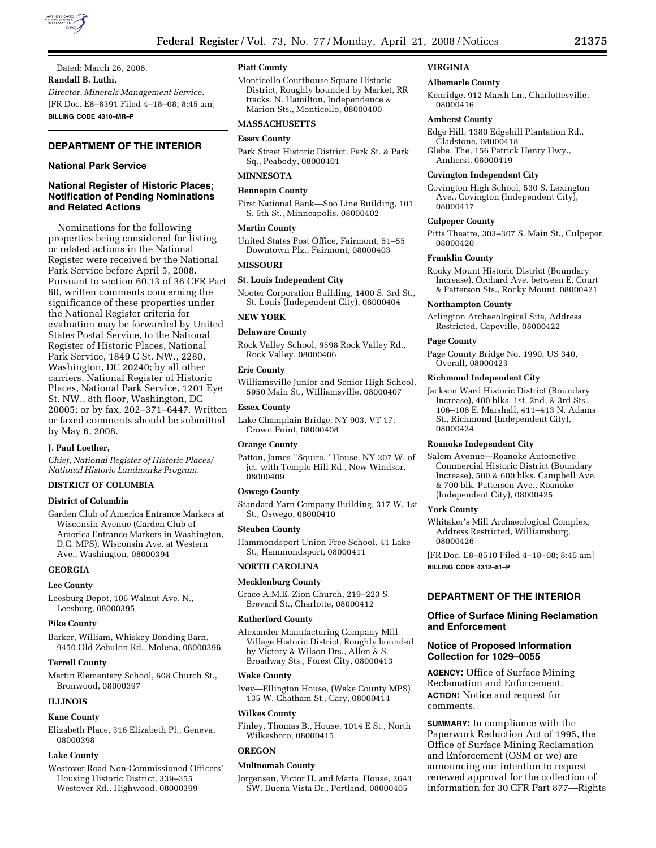

Dated: March 26, 2008. **Randall B. Luthi,**  *Director, Minerals Management Service.*  [FR Doc. E8–8391 Filed 4–18–08; 8:45 am] **BILLING CODE 4310–MR–P** 

# **DEPARTMENT OF THE INTERIOR**

#### **National Park Service**

# **National Register of Historic Places; Notification of Pending Nominations and Related Actions**

Nominations for the following properties being considered for listing or related actions in the National Register were received by the National Park Service before April 5, 2008. Pursuant to section 60.13 of 36 CFR Part 60, written comments concerning the significance of these properties under the National Register criteria for evaluation may be forwarded by United States Postal Service, to the National Register of Historic Places, National Park Service, 1849 C St. NW., 2280, Washington, DC 20240; by all other carriers, National Register of Historic Places, National Park Service, 1201 Eye St. NW., 8th floor, Washington, DC 20005; or by fax, 202–371–6447. Written or faxed comments should be submitted by May 6, 2008.

#### **J. Paul Loether,**

*Chief, National Register of Historic Places/ National Historic Landmarks Program.* 

#### **DISTRICT OF COLUMBIA**

#### **District of Columbia**

Garden Club of America Entrance Markers at Wisconsin Avenue (Garden Club of America Entrance Markers in Washington, D.C. MPS), Wisconsin Ave. at Western Ave., Washington, 08000394

#### **GEORGIA**

#### **Lee County**

Leesburg Depot, 106 Walnut Ave. N., Leesburg, 08000395

#### **Pike County**

Barker, William, Whiskey Bonding Barn, 9450 Old Zebulon Rd., Molena, 08000396

#### **Terrell County**

Martin Elementary School, 608 Church St., Bronwood, 08000397

# **ILLINOIS**

#### **Kane County**

Elizabeth Place, 316 Elizabeth Pl., Geneva, 08000398

# **Lake County**

Westover Road Non-Commissioned Officers' Housing Historic District, 339–355 Westover Rd., Highwood, 08000399

# **Piatt County**

Monticello Courthouse Square Historic District, Roughly bounded by Market, RR tracks, N. Hamilton, Independence & Marion Sts., Monticello, 08000400

# **MASSACHUSETTS**

# **Essex County**

Park Street Historic District, Park St. & Park Sq., Peabody, 08000401

# **MINNESOTA**

**Hennepin County** 

First National Bank—Soo Line Building, 101 S. 5th St., Minneapolis, 08000402

# **Martin County**

United States Post Office, Fairmont, 51–55 Downtown Plz., Fairmont, 08000403

# **MISSOURI**

**St. Louis Independent City** 

Nooter Corporation Building, 1400 S. 3rd St., St. Louis (Independent City), 08000404

# **NEW YORK**

#### **Delaware County**

Rock Valley School, 9598 Rock Valley Rd., Rock Valley, 08000406

# **Erie County**

Williamsville Junior and Senior High School, 5950 Main St., Williamsville, 08000407

#### **Essex County**

Lake Champlain Bridge, NY 903, VT 17, Crown Point, 08000408

#### **Orange County**

Patton, James ''Squire,'' House, NY 207 W. of jct. with Temple Hill Rd., New Windsor, 08000409

#### **Oswego County**

Standard Yarn Company Building, 317 W. 1st St., Oswego, 08000410

#### **Steuben County**

Hammondsport Union Free School, 41 Lake St., Hammondsport, 08000411

# **NORTH CAROLINA**

#### **Mecklenburg County**

Grace A.M.E. Zion Church, 219–223 S. Brevard St., Charlotte, 08000412

#### **Rutherford County**

Alexander Manufacturing Company Mill Village Historic District, Roughly bounded by Victory & Wilson Drs., Allen & S. Broadway Sts., Forest City, 08000413

#### **Wake County**

Ivey—Ellington House, (Wake County MPS) 135 W. Chatham St., Cary, 08000414

#### **Wilkes County**

Finley, Thomas B., House, 1014 E St., North Wilkesboro, 08000415

#### **OREGON**

#### **Multnomah County**

Jorgensen, Victor H. and Marta, House, 2643 SW. Buena Vista Dr., Portland, 08000405

# **VIRGINIA**

#### **Albemarle County**

Kenridge, 912 Marsh Ln., Charlottesville, 08000416

#### **Amherst County**

Edge Hill, 1380 Edgehill Plantation Rd., Gladstone, 08000418

Glebe, The, 156 Patrick Henry Hwy., Amherst, 08000419

# **Covington Independent City**

Covington High School, 530 S. Lexington Ave., Covington (Independent City), 08000417

#### **Culpeper County**

Pitts Theatre, 303–307 S. Main St., Culpeper, 08000420

#### **Franklin County**

Rocky Mount Historic District (Boundary Increase), Orchard Ave. between E. Court & Patterson Sts., Rocky Mount, 08000421

#### **Northampton County**

Arlington Archaeological Site, Address Restricted, Capeville, 08000422

#### **Page County**

Page County Bridge No. 1990, US 340, Overall, 08000423

#### **Richmond Independent City**

Jackson Ward Historic District (Boundary Increase), 400 blks. 1st, 2nd, & 3rd Sts., 106–108 E. Marshall, 411–413 N. Adams St., Richmond (Independent City), 08000424

#### **Roanoke Independent City**

Salem Avenue—Roanoke Automotive Commercial Historic District (Boundary Increase), 500 & 600 blks. Campbell Ave. & 700 blk. Patterson Ave., Roanoke (Independent City), 08000425

#### **York County**

Whitaker's Mill Archaeological Complex, Address Restricted, Williamsburg, 08000426

[FR Doc. E8–8510 Filed 4–18–08; 8:45 am] **BILLING CODE 4312–51–P** 

# **DEPARTMENT OF THE INTERIOR**

# **Office of Surface Mining Reclamation and Enforcement**

# **Notice of Proposed Information Collection for 1029–0055**

**AGENCY:** Office of Surface Mining Reclamation and Enforcement. **ACTION:** Notice and request for comments.

**SUMMARY:** In compliance with the Paperwork Reduction Act of 1995, the Office of Surface Mining Reclamation and Enforcement (OSM or we) are announcing our intention to request renewed approval for the collection of information for 30 CFR Part 877—Rights